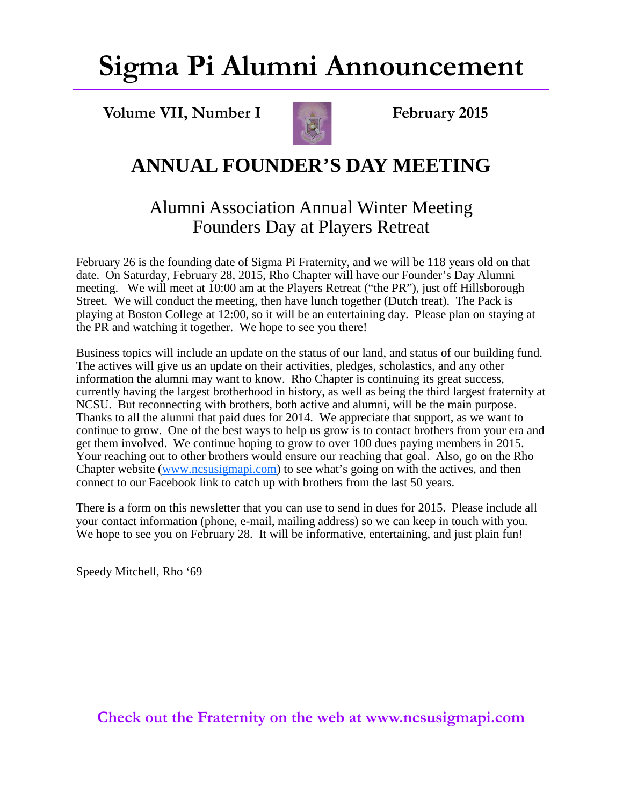## **Sigma Pi Alumni Announcement**

**Volume VII, Number I February 2015** 



### **ANNUAL FOUNDER'S DAY MEETING**

#### Alumni Association Annual Winter Meeting Founders Day at Players Retreat

February 26 is the founding date of Sigma Pi Fraternity, and we will be 118 years old on that date. On Saturday, February 28, 2015, Rho Chapter will have our Founder's Day Alumni meeting. We will meet at 10:00 am at the Players Retreat ("the PR"), just off Hillsborough Street. We will conduct the meeting, then have lunch together (Dutch treat). The Pack is playing at Boston College at 12:00, so it will be an entertaining day. Please plan on staying at the PR and watching it together. We hope to see you there!

Business topics will include an update on the status of our land, and status of our building fund. The actives will give us an update on their activities, pledges, scholastics, and any other information the alumni may want to know. Rho Chapter is continuing its great success, currently having the largest brotherhood in history, as well as being the third largest fraternity at NCSU. But reconnecting with brothers, both active and alumni, will be the main purpose. Thanks to all the alumni that paid dues for 2014. We appreciate that support, as we want to continue to grow. One of the best ways to help us grow is to contact brothers from your era and get them involved. We continue hoping to grow to over 100 dues paying members in 2015. Your reaching out to other brothers would ensure our reaching that goal. Also, go on the Rho Chapter website (www.ncsusigmapi.com) to see what's going on with the actives, and then connect to our Facebook link to catch up with brothers from the last 50 years.

There is a form on this newsletter that you can use to send in dues for 2015. Please include all your contact information (phone, e-mail, mailing address) so we can keep in touch with you. We hope to see you on February 28. It will be informative, entertaining, and just plain fun!

Speedy Mitchell, Rho '69

**Check out the Fraternity on the web at www.ncsusigmapi.com**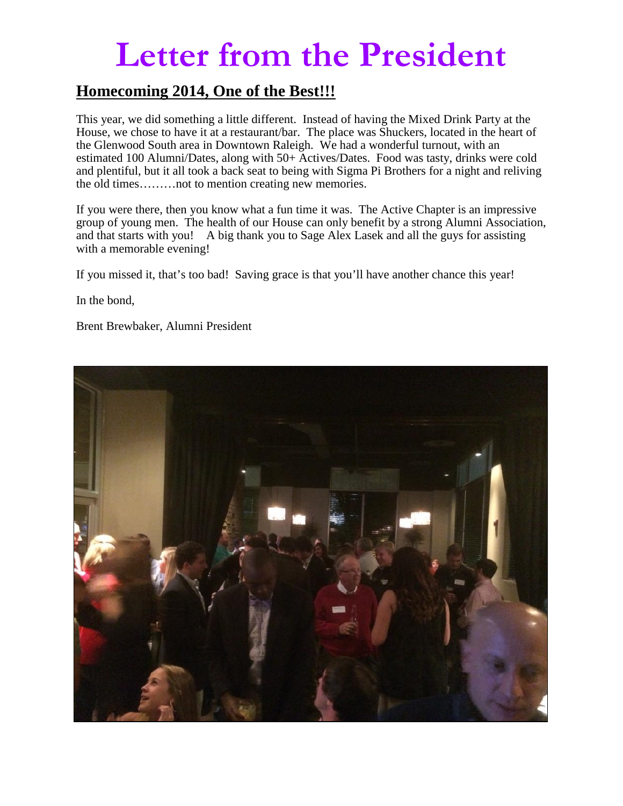## **Letter from the President**

#### **Homecoming 2014, One of the Best!!!**

This year, we did something a little different. Instead of having the Mixed Drink Party at the House, we chose to have it at a restaurant/bar. The place was Shuckers, located in the heart of the Glenwood South area in Downtown Raleigh. We had a wonderful turnout, with an estimated 100 Alumni/Dates, along with 50+ Actives/Dates. Food was tasty, drinks were cold and plentiful, but it all took a back seat to being with Sigma Pi Brothers for a night and reliving the old times………not to mention creating new memories.

If you were there, then you know what a fun time it was. The Active Chapter is an impressive group of young men. The health of our House can only benefit by a strong Alumni Association, and that starts with you! A big thank you to Sage Alex Lasek and all the guys for assisting with a memorable evening!

If you missed it, that's too bad! Saving grace is that you'll have another chance this year!

In the bond,

Brent Brewbaker, Alumni President

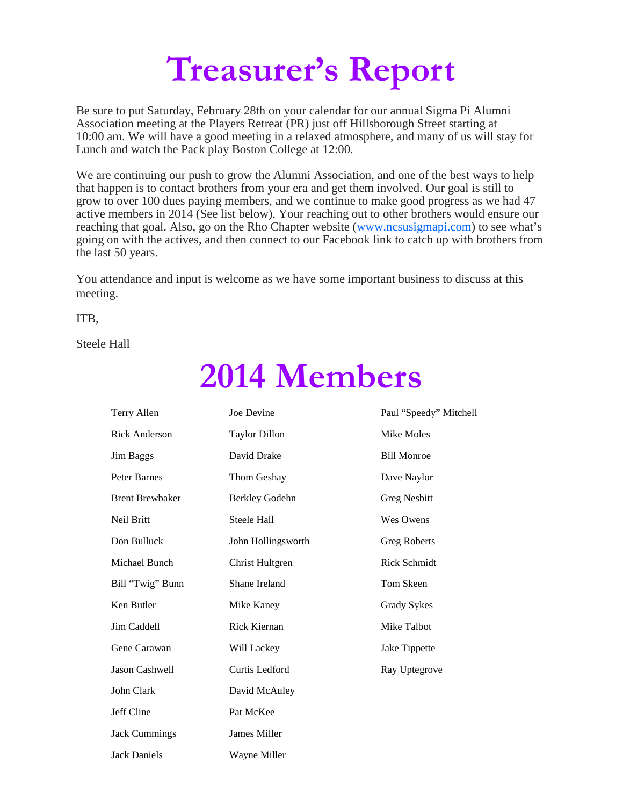# **Treasurer's Report**

Be sure to put Saturday, February 28th on your calendar for our annual Sigma Pi Alumni Association meeting at the Players Retreat (PR) just off Hillsborough Street starting at 10:00 am. We will have a good meeting in a relaxed atmosphere, and many of us will stay for Lunch and watch the Pack play Boston College at 12:00.

We are continuing our push to grow the Alumni Association, and one of the best ways to help that happen is to contact brothers from your era and get them involved. Our goal is still to grow to over 100 dues paying members, and we continue to make good progress as we had 47 active members in 2014 (See list below). Your reaching out to other brothers would ensure our reaching that goal. Also, go on the Rho Chapter website (www.ncsusigmapi.com) to see what's going on with the actives, and then connect to our Facebook link to catch up with brothers from the last 50 years.

You attendance and input is welcome as we have some important business to discuss at this meeting.

ITB,

Steele Hall

## **2014 Members**

| Terry Allen            | Joe Devine            | Paul "Speedy" Mitchell |
|------------------------|-----------------------|------------------------|
| <b>Rick Anderson</b>   | <b>Taylor Dillon</b>  | Mike Moles             |
| Jim Baggs              | David Drake           | <b>Bill Monroe</b>     |
| Peter Barnes           | Thom Geshay           | Dave Naylor            |
| <b>Brent Brewbaker</b> | <b>Berkley Godehn</b> | <b>Greg Nesbitt</b>    |
| Neil Britt             | Steele Hall           | Wes Owens              |
| Don Bulluck            | John Hollingsworth    | <b>Greg Roberts</b>    |
| Michael Bunch          | Christ Hultgren       | <b>Rick Schmidt</b>    |
| Bill "Twig" Bunn       | Shane Ireland         | Tom Skeen              |
| Ken Butler             | Mike Kaney            | Grady Sykes            |
| Jim Caddell            | Rick Kiernan          | Mike Talbot            |
| Gene Carawan           | Will Lackey           | Jake Tippette          |
| Jason Cashwell         | Curtis Ledford        | Ray Uptegrove          |
| John Clark             | David McAuley         |                        |
| Jeff Cline             | Pat McKee             |                        |
| <b>Jack Cummings</b>   | James Miller          |                        |
| <b>Jack Daniels</b>    | Wavne Miller          |                        |